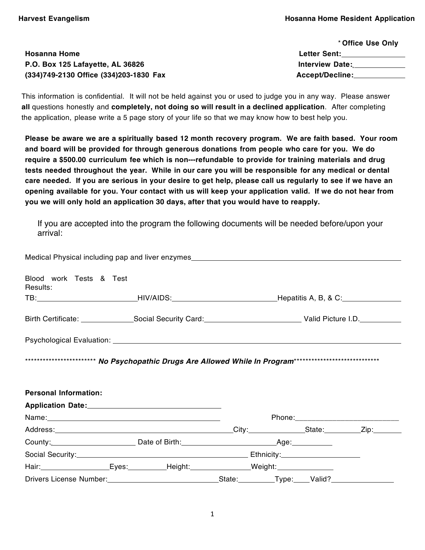\* **Office Use Only** 

|                                        | ↑ Office Use Only      |  |
|----------------------------------------|------------------------|--|
| <b>Hosanna Home</b>                    | <b>Letter Sent:</b>    |  |
| P.O. Box 125 Lafayette, AL 36826       | <b>Interview Date:</b> |  |
| (334)749-2130 Office (334)203-1830 Fax | <b>Accept/Decline:</b> |  |
|                                        |                        |  |

This information is confidential. It will not be held against you or used to judge you in any way. Please answer **all** questions honestly and **completely, not doing so will result in a declined application**. After completing the application, please write a 5 page story of your life so that we may know how to best help you.

Please be aware we are a spiritually based 12 month recovery program. We are faith based. Your room **and board will be provided for through generous donations from people who care for you. We do require a \$500.00 curriculum fee which is non-‐refundable to provide for training materials and drug tests needed throughout the year. While in our care you will be responsible for any medical or dental** care needed. If you are serious in your desire to get help, please call us regularly to see if we have an **opening available for you. Your contact with us will keep your application valid. If we do not hear from you we will only hold an application 30 days, after that you would have to reapply.** 

If you are accepted into the program the following documents will be needed before/upon your arrival:

| Medical Physical including pap and liver enzymes_________________________________                                                                                                                                              |  |  |                                       |
|--------------------------------------------------------------------------------------------------------------------------------------------------------------------------------------------------------------------------------|--|--|---------------------------------------|
| Blood work Tests & Test<br>Results:                                                                                                                                                                                            |  |  |                                       |
| TB: _______________________________HIV/AIDS: ___________________________________Hepatitis A, B, & C:                                                                                                                           |  |  |                                       |
|                                                                                                                                                                                                                                |  |  |                                       |
|                                                                                                                                                                                                                                |  |  |                                       |
|                                                                                                                                                                                                                                |  |  |                                       |
|                                                                                                                                                                                                                                |  |  |                                       |
| <b>Personal Information:</b>                                                                                                                                                                                                   |  |  |                                       |
|                                                                                                                                                                                                                                |  |  |                                       |
|                                                                                                                                                                                                                                |  |  | Phone:_______________________________ |
|                                                                                                                                                                                                                                |  |  |                                       |
|                                                                                                                                                                                                                                |  |  |                                       |
|                                                                                                                                                                                                                                |  |  |                                       |
| Hair: Fig. Fig. Explorer Explorer Explorer Explorer Explorer Explorer Explorer Explorer Explorer Explorer Explorer Explorer Explorer Explorer Explorer Explorer Explorer Explorer Explorer Explorer Explorer Explorer Explorer |  |  |                                       |
|                                                                                                                                                                                                                                |  |  |                                       |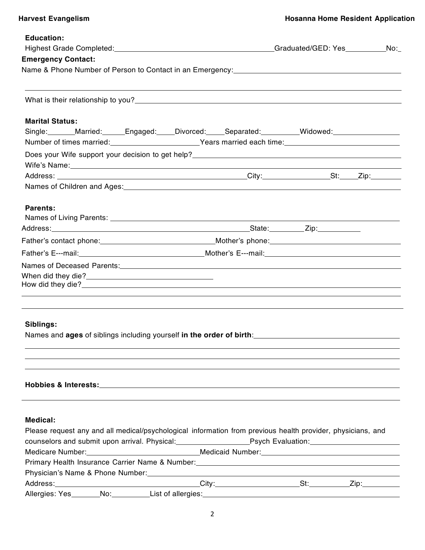$\overline{a}$ 

| <b>Education:</b>                                                                                                                                                                                                              |  |  |  |
|--------------------------------------------------------------------------------------------------------------------------------------------------------------------------------------------------------------------------------|--|--|--|
| Highest Grade Completed: No. 2008 No. 2012 19:40 No. 2014 No. 2014 No. 2014 No. 2014 No. 2014 No. 2014 No. 201                                                                                                                 |  |  |  |
| <b>Emergency Contact:</b>                                                                                                                                                                                                      |  |  |  |
| Name & Phone Number of Person to Contact in an Emergency: [1997] [2012] [2012] [2012] [2012] [2012] [2012] [20                                                                                                                 |  |  |  |
|                                                                                                                                                                                                                                |  |  |  |
| <b>Marital Status:</b>                                                                                                                                                                                                         |  |  |  |
| Single: Married: Engaged: Divorced: Separated: Widowed: Midowed:                                                                                                                                                               |  |  |  |
| Number of times married: <u>Consequently exactle</u> Years married each time: Number of times                                                                                                                                  |  |  |  |
|                                                                                                                                                                                                                                |  |  |  |
| Wife's Name: Name: Name: Name: Name: Name: Name: Name: Name: Name: Name: Name: Name: Name: Name: Name: Name: Name: Name: Name: Name: Name: Name: Name: Name: Name: Name: Name: Name: Name: Name: Name: Name: Name: Name: Name: |  |  |  |
|                                                                                                                                                                                                                                |  |  |  |
|                                                                                                                                                                                                                                |  |  |  |
|                                                                                                                                                                                                                                |  |  |  |
| Parents:                                                                                                                                                                                                                       |  |  |  |
|                                                                                                                                                                                                                                |  |  |  |
|                                                                                                                                                                                                                                |  |  |  |
|                                                                                                                                                                                                                                |  |  |  |
|                                                                                                                                                                                                                                |  |  |  |
| Names of Deceased Parents: Manual Contract of Deceased Parents: Manual Contract of Deceased Parents:                                                                                                                           |  |  |  |
|                                                                                                                                                                                                                                |  |  |  |
|                                                                                                                                                                                                                                |  |  |  |
|                                                                                                                                                                                                                                |  |  |  |
|                                                                                                                                                                                                                                |  |  |  |
|                                                                                                                                                                                                                                |  |  |  |
| Siblings:                                                                                                                                                                                                                      |  |  |  |
| Names and ages of siblings including yourself in the order of birth:<br>state of the order in the order of birth:                                                                                                              |  |  |  |
|                                                                                                                                                                                                                                |  |  |  |
|                                                                                                                                                                                                                                |  |  |  |
|                                                                                                                                                                                                                                |  |  |  |

# **Hobbies & Interests:**

## **Medical:**

| Please request any and all medical/psychological information from previous health provider, physicians, and                                                                                                                    |  |  |  |  |
|--------------------------------------------------------------------------------------------------------------------------------------------------------------------------------------------------------------------------------|--|--|--|--|
|                                                                                                                                                                                                                                |  |  |  |  |
| Medicare Number: Manual Medicaid Number: Medicaid Number: Medicaid Number: Medicaid Number: Medicaid Number: Medicaid Number: Medicaid Number: Medicaid Number: Medicaid Number: Medicaid Number: Medicaid Number: Medicaid Nu |  |  |  |  |
| Primary Health Insurance Carrier Name & Number: North Contract Control of the United States of the United States of the United States of the United States of the United States of the United States of the United States of t |  |  |  |  |
|                                                                                                                                                                                                                                |  |  |  |  |
|                                                                                                                                                                                                                                |  |  |  |  |
| Allergies: Yes _______No: _________List of allergies: ___________________________                                                                                                                                              |  |  |  |  |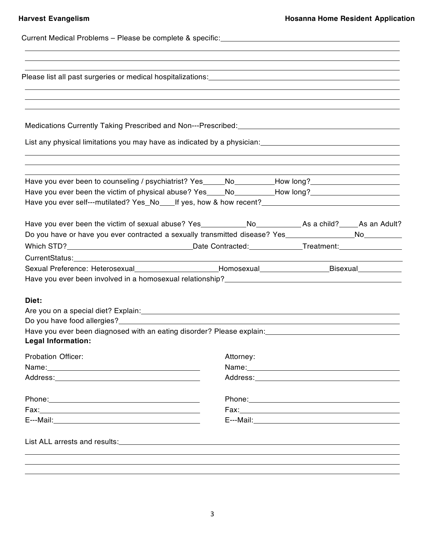| Please list all past surgeries or medical hospitalizations:<br>Nease list all past surgeries or medical hospitalizations:<br>1998: 1999: 1999: 1999: 1999: 1999: 1999: 1999: 1999: 1999: 1999: 1999: 1999: 1999: 1999: 1999: 1999:<br>,我们也不会有什么?""我们的人,我们也不会有什么?""我们的人,我们也不会有什么?""我们的人,我们也不会有什么?""我们的人,我们也不会有什么?""我们的人 |           |                                                                                                                                                                                                                               |  |
|------------------------------------------------------------------------------------------------------------------------------------------------------------------------------------------------------------------------------------------------------------------------------------------------------------------------|-----------|-------------------------------------------------------------------------------------------------------------------------------------------------------------------------------------------------------------------------------|--|
|                                                                                                                                                                                                                                                                                                                        |           |                                                                                                                                                                                                                               |  |
|                                                                                                                                                                                                                                                                                                                        |           |                                                                                                                                                                                                                               |  |
| List any physical limitations you may have as indicated by a physician: [19] [19] [19] [19] [19] [19] [19] [19                                                                                                                                                                                                         |           |                                                                                                                                                                                                                               |  |
| Have you ever been to counseling / psychiatrist? Yes_____No_________How long?_______________________                                                                                                                                                                                                                   |           |                                                                                                                                                                                                                               |  |
| Have you ever been the victim of physical abuse? Yes____No________How long?________________________                                                                                                                                                                                                                    |           |                                                                                                                                                                                                                               |  |
| Have you ever self---mutilated? Yes_No____If yes, how & how recent?_________________________________                                                                                                                                                                                                                   |           |                                                                                                                                                                                                                               |  |
|                                                                                                                                                                                                                                                                                                                        |           |                                                                                                                                                                                                                               |  |
| Do you have or have you ever contracted a sexually transmitted disease? Yes __________________________________                                                                                                                                                                                                         |           |                                                                                                                                                                                                                               |  |
|                                                                                                                                                                                                                                                                                                                        |           |                                                                                                                                                                                                                               |  |
|                                                                                                                                                                                                                                                                                                                        |           |                                                                                                                                                                                                                               |  |
| Sexual Preference: Heterosexual________________________Homosexual________________Bisexual___________                                                                                                                                                                                                                   |           |                                                                                                                                                                                                                               |  |
|                                                                                                                                                                                                                                                                                                                        |           |                                                                                                                                                                                                                               |  |
| Diet:                                                                                                                                                                                                                                                                                                                  |           |                                                                                                                                                                                                                               |  |
|                                                                                                                                                                                                                                                                                                                        |           |                                                                                                                                                                                                                               |  |
|                                                                                                                                                                                                                                                                                                                        |           |                                                                                                                                                                                                                               |  |
| <b>Legal Information:</b>                                                                                                                                                                                                                                                                                              |           |                                                                                                                                                                                                                               |  |
| <b>Probation Officer:</b>                                                                                                                                                                                                                                                                                              | Attorney: |                                                                                                                                                                                                                               |  |
| Name: Name and the second contract of the second contract of the second contract of the second contract of the second contract of the second contract of the second contract of the second contract of the second contract of                                                                                          |           | Name: Name and the second contract of the second contract of the second contract of the second contract of the second contract of the second contract of the second contract of the second contract of the second contract of |  |
|                                                                                                                                                                                                                                                                                                                        |           | Address: Andrea Maria Contractor and Address and Address and Address and Address and Address and Address and A                                                                                                                |  |
| Phone: Note: Note: Note: Note: Note: Note: Note: Note: Note: Note: Note: Note: Note: Note: Note: Note: Note: Note: Note: Note: Note: Note: Note: Note: Note: Note: Note: Note: Note: Note: Note: Note: Note: Note: Note: Note:                                                                                         |           | Phone: Note: 2008 Phone: 2008 Phone: 2008 Phone: 2008 Phone: 2008 Phone: 2008 Phone: 2008 Phone: 2008 Phone: 2008 Phone: 2008 Phone: 2008 Phone: 2008 Phone: 2008 Phone: 2008 Phone: 2008 Phone: 2008 Phone: 2008 Phone: 2008 |  |
|                                                                                                                                                                                                                                                                                                                        |           |                                                                                                                                                                                                                               |  |
|                                                                                                                                                                                                                                                                                                                        |           |                                                                                                                                                                                                                               |  |
|                                                                                                                                                                                                                                                                                                                        |           |                                                                                                                                                                                                                               |  |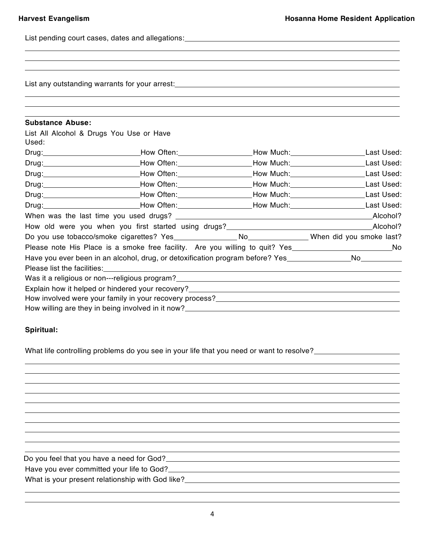List pending court cases, dates and allegations:<br>
<u>List pending court cases</u>, dates and allegations:

List any outstanding warrants for your arrest:<br>
<u>List any outstanding</u> warrants for your arrest:

| <b>Substance Abuse:</b>                                                                                       |                                                                                                                                                                |  |  |
|---------------------------------------------------------------------------------------------------------------|----------------------------------------------------------------------------------------------------------------------------------------------------------------|--|--|
| List All Alcohol & Drugs You Use or Have                                                                      |                                                                                                                                                                |  |  |
| Used:                                                                                                         |                                                                                                                                                                |  |  |
|                                                                                                               | Drug:_______________________________How Often:____________________How Much:________________________Last Used:                                                  |  |  |
|                                                                                                               | Drug: Last Used: How Often: How Commercial How Much: Last Used:                                                                                                |  |  |
|                                                                                                               | Drug: Last Used: Now Often: Now Often: Now Much: Now Much: Now Much: Last Used:                                                                                |  |  |
|                                                                                                               | Drug: Last Used: How Often: Network Nuch: Network: Network Nuch: Network: Network: Network: Network: Network: N                                                |  |  |
|                                                                                                               | Drug: Last Used: How Often: Network Nuch: Network Nuch: Last Used:                                                                                             |  |  |
|                                                                                                               | Drug: Last Used: How Often: New York Nuch: New York: New York Nuch: New York:                                                                                  |  |  |
|                                                                                                               |                                                                                                                                                                |  |  |
|                                                                                                               | How old were you when you first started using drugs?<br>How old were you when you first started using drugs?<br>1990 - 2000 - 2000 - 2000 - 2010 - 2020 - 2020 |  |  |
|                                                                                                               |                                                                                                                                                                |  |  |
|                                                                                                               | Please note His Place is a smoke free facility. Are you willing to quit? Yes_____________________________No                                                    |  |  |
| Have you ever been in an alcohol, drug, or detoxification program before? Yes_________________No_____________ |                                                                                                                                                                |  |  |
|                                                                                                               |                                                                                                                                                                |  |  |
|                                                                                                               | Was it a religious or non---religious program?___________________________________                                                                              |  |  |
|                                                                                                               |                                                                                                                                                                |  |  |
|                                                                                                               | How involved were your family in your recovery process?_________________________                                                                               |  |  |
|                                                                                                               |                                                                                                                                                                |  |  |

### **Spiritual:**

What life controlling problems do you see in your life that you need or want to resolve?<br><u>What life controlling</u> problems do you see in your life that you need or want to resolve?

Do you feel that you have a need for God?<br>
<u>Do you feel that you have a need for God?</u>

Have you ever committed your life to God?<br>
Have you ever committed your life to God?

What is your present relationship with God like?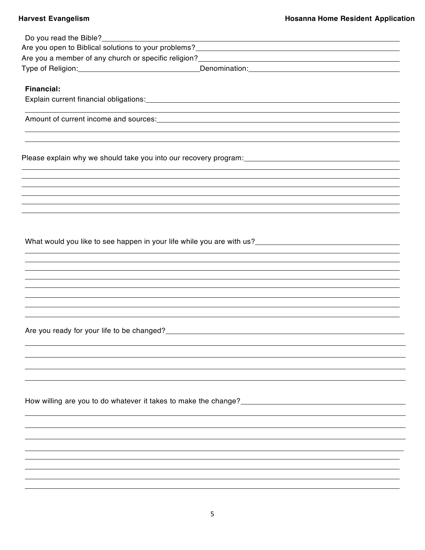|                   | Are you a member of any church or specific religion?<br>Manusian Manusian Manusian Manusian Manusian Manusian Manusian Manusian Manusian Manusian Manusian Manusian M |
|-------------------|-----------------------------------------------------------------------------------------------------------------------------------------------------------------------|
|                   | Type of Religion: <u>Communication</u> Denomination: Communication: Communication:                                                                                    |
|                   |                                                                                                                                                                       |
| <b>Financial:</b> |                                                                                                                                                                       |
|                   |                                                                                                                                                                       |
|                   |                                                                                                                                                                       |
|                   |                                                                                                                                                                       |
|                   |                                                                                                                                                                       |
|                   |                                                                                                                                                                       |
|                   |                                                                                                                                                                       |
|                   |                                                                                                                                                                       |
|                   |                                                                                                                                                                       |
|                   |                                                                                                                                                                       |
|                   |                                                                                                                                                                       |
|                   |                                                                                                                                                                       |
|                   |                                                                                                                                                                       |
|                   |                                                                                                                                                                       |
|                   |                                                                                                                                                                       |
|                   |                                                                                                                                                                       |
|                   |                                                                                                                                                                       |
|                   |                                                                                                                                                                       |
|                   |                                                                                                                                                                       |
|                   |                                                                                                                                                                       |
|                   |                                                                                                                                                                       |
|                   |                                                                                                                                                                       |
|                   |                                                                                                                                                                       |
|                   | Are you ready for your life to be changed?<br><u> Are you ready for your life to be changed?</u>                                                                      |
|                   |                                                                                                                                                                       |
|                   |                                                                                                                                                                       |
|                   |                                                                                                                                                                       |
|                   |                                                                                                                                                                       |
|                   |                                                                                                                                                                       |
|                   |                                                                                                                                                                       |
|                   |                                                                                                                                                                       |
|                   |                                                                                                                                                                       |
|                   |                                                                                                                                                                       |
|                   |                                                                                                                                                                       |
|                   |                                                                                                                                                                       |
|                   |                                                                                                                                                                       |
|                   |                                                                                                                                                                       |
|                   |                                                                                                                                                                       |
|                   |                                                                                                                                                                       |
|                   |                                                                                                                                                                       |